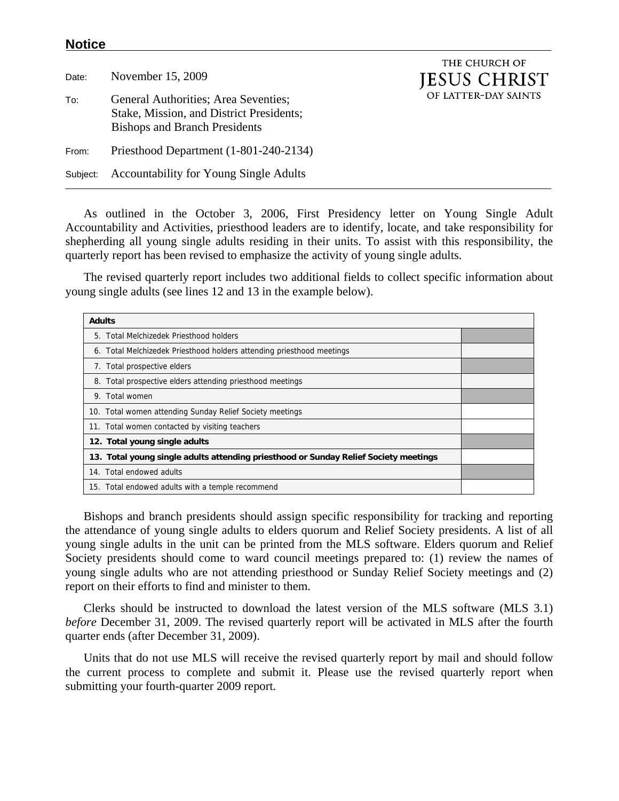## **Notice**

Date: November 15, 2009 To: General Authorities; Area Seventies; Stake, Mission, and District Presidents; Bishops and Branch Presidents From: Priesthood Department (1-801-240-2134) Subject: Accountability for Young Single Adults

THE CHURCH OF **JESUS CHRIST** OF LATTER-DAY SAINTS

 As outlined in the October 3, 2006, First Presidency letter on Young Single Adult Accountability and Activities, priesthood leaders are to identify, locate, and take responsibility for shepherding all young single adults residing in their units. To assist with this responsibility, the quarterly report has been revised to emphasize the activity of young single adults.

 The revised quarterly report includes two additional fields to collect specific information about young single adults (see lines 12 and 13 in the example below).

| <b>Adults</b> |                                                                                      |  |
|---------------|--------------------------------------------------------------------------------------|--|
|               | 5. Total Melchizedek Priesthood holders                                              |  |
|               | 6. Total Melchizedek Priesthood holders attending priesthood meetings                |  |
|               | 7. Total prospective elders                                                          |  |
|               | 8. Total prospective elders attending priesthood meetings                            |  |
|               | 9. Total women                                                                       |  |
|               | 10. Total women attending Sunday Relief Society meetings                             |  |
|               | 11. Total women contacted by visiting teachers                                       |  |
|               | 12. Total young single adults                                                        |  |
|               | 13. Total young single adults attending priesthood or Sunday Relief Society meetings |  |
|               | 14. Total endowed adults                                                             |  |
|               | 15. Total endowed adults with a temple recommend                                     |  |

Bishops and branch presidents should assign specific responsibility for tracking and reporting the attendance of young single adults to elders quorum and Relief Society presidents. A list of all young single adults in the unit can be printed from the MLS software. Elders quorum and Relief Society presidents should come to ward council meetings prepared to: (1) review the names of young single adults who are not attending priesthood or Sunday Relief Society meetings and (2) report on their efforts to find and minister to them.

 Clerks should be instructed to download the latest version of the MLS software (MLS 3.1) *before* December 31, 2009. The revised quarterly report will be activated in MLS after the fourth quarter ends (after December 31, 2009).

 Units that do not use MLS will receive the revised quarterly report by mail and should follow the current process to complete and submit it. Please use the revised quarterly report when submitting your fourth-quarter 2009 report.